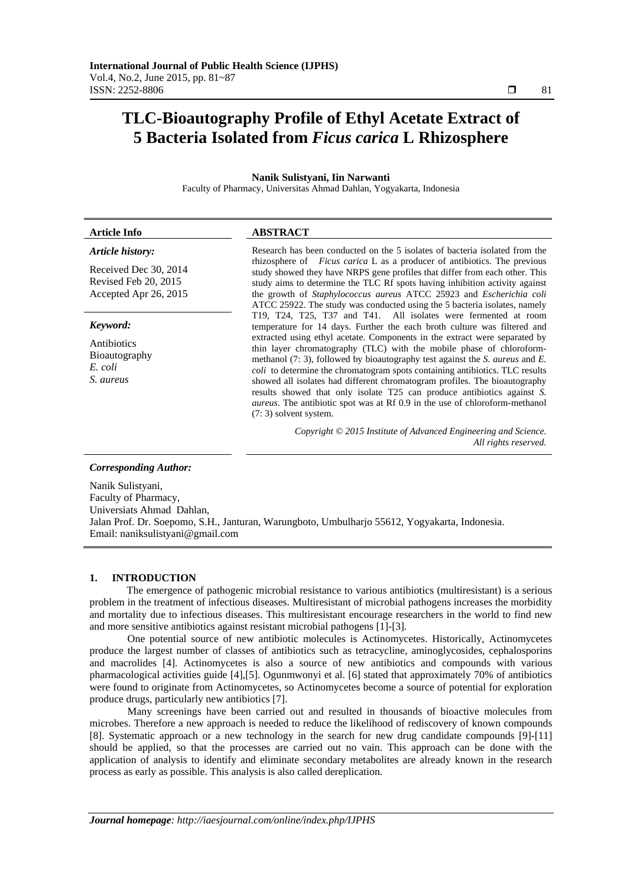# **TLC-Bioautography Profile of Ethyl Acetate Extract of 5 Bacteria Isolated from** *Ficus carica* **L Rhizosphere**

## **Nanik Sulistyani, Iin Narwanti**

Faculty of Pharmacy, Universitas Ahmad Dahlan, Yogyakarta, Indonesia

| <b>Article Info</b>                                                    | <b>ABSTRACT</b>                                                                                                                                                                                                                                                                                                                                                                                                                                                                                                                                                                                         |  |
|------------------------------------------------------------------------|---------------------------------------------------------------------------------------------------------------------------------------------------------------------------------------------------------------------------------------------------------------------------------------------------------------------------------------------------------------------------------------------------------------------------------------------------------------------------------------------------------------------------------------------------------------------------------------------------------|--|
| Article history:                                                       | Research has been conducted on the 5 isolates of bacteria isolated from the<br>rhizosphere of <i>Ficus carica</i> L as a producer of antibiotics. The previous                                                                                                                                                                                                                                                                                                                                                                                                                                          |  |
| Received Dec 30, 2014<br>Revised Feb 20, 2015<br>Accepted Apr 26, 2015 | study showed they have NRPS gene profiles that differ from each other. This<br>study aims to determine the TLC Rf spots having inhibition activity against<br>the growth of Staphylococcus aureus ATCC 25923 and Escherichia coli<br>ATCC 25922. The study was conducted using the 5 bacteria isolates, namely                                                                                                                                                                                                                                                                                          |  |
| Keyword:                                                               | T19, T24, T25, T37 and T41. All isolates were fermented at room<br>temperature for 14 days. Further the each broth culture was filtered and                                                                                                                                                                                                                                                                                                                                                                                                                                                             |  |
| Antibiotics<br>Bioautography<br>E. coli<br>S. aureus                   | extracted using ethyl acetate. Components in the extract were separated by<br>thin layer chromatography (TLC) with the mobile phase of chloroform-<br>methanol $(7: 3)$ , followed by bioautography test against the S. <i>aureus</i> and E.<br>coli to determine the chromatogram spots containing antibiotics. TLC results<br>showed all isolates had different chromatogram profiles. The bioautography<br>results showed that only isolate T25 can produce antibiotics against S.<br><i>aureus</i> . The antibiotic spot was at Rf 0.9 in the use of chloroform-methanol<br>$(7:3)$ solvent system. |  |
|                                                                        | Copyright © 2015 Institute of Advanced Engineering and Science.<br>All rights reserved.                                                                                                                                                                                                                                                                                                                                                                                                                                                                                                                 |  |
| <b>Corresponding Author:</b>                                           |                                                                                                                                                                                                                                                                                                                                                                                                                                                                                                                                                                                                         |  |
| Nanik Sulistyani,                                                      |                                                                                                                                                                                                                                                                                                                                                                                                                                                                                                                                                                                                         |  |

Faculty of Pharmacy, Universiats Ahmad Dahlan, Jalan Prof. Dr. Soepomo, S.H., Janturan, Warungboto, Umbulharjo 55612, Yogyakarta, Indonesia. Email: naniksulistyani@gmail.com

#### **1. INTRODUCTION**

The emergence of pathogenic microbial resistance to various antibiotics (multiresistant) is a serious problem in the treatment of infectious diseases. Multiresistant of microbial pathogens increases the morbidity and mortality due to infectious diseases. This multiresistant encourage researchers in the world to find new and more sensitive antibiotics against resistant microbial pathogens [1]-[3].

 One potential source of new antibiotic molecules is Actinomycetes. Historically, Actinomycetes produce the largest number of classes of antibiotics such as tetracycline, aminoglycosides, cephalosporins and macrolides [4]. Actinomycetes is also a source of new antibiotics and compounds with various pharmacological activities guide [4],[5]. Ogunmwonyi et al. [6] stated that approximately 70% of antibiotics were found to originate from Actinomycetes, so Actinomycetes become a source of potential for exploration produce drugs, particularly new antibiotics [7].

 Many screenings have been carried out and resulted in thousands of bioactive molecules from microbes. Therefore a new approach is needed to reduce the likelihood of rediscovery of known compounds [8]. Systematic approach or a new technology in the search for new drug candidate compounds [9]-[11] should be applied, so that the processes are carried out no vain. This approach can be done with the application of analysis to identify and eliminate secondary metabolites are already known in the research process as early as possible. This analysis is also called dereplication.

ֺֺ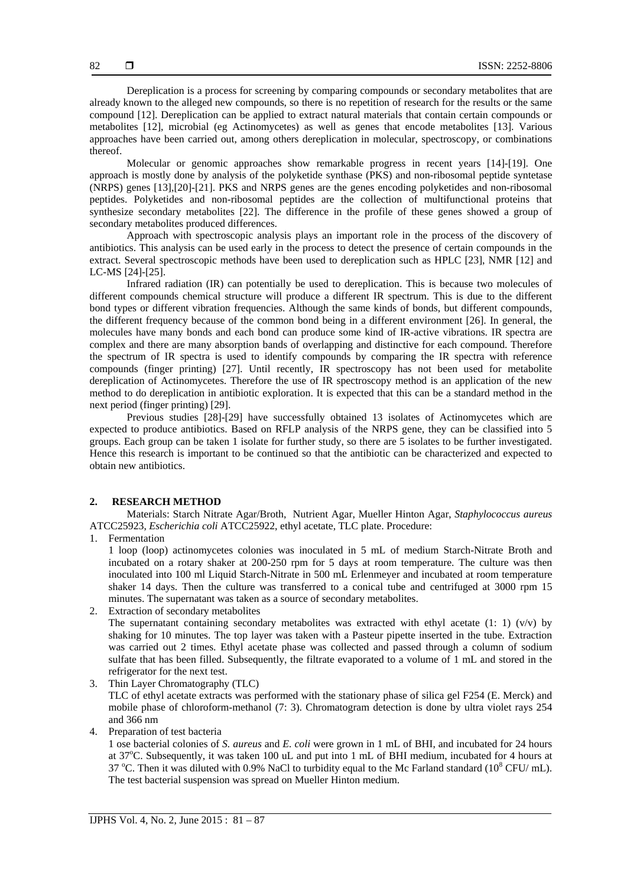Dereplication is a process for screening by comparing compounds or secondary metabolites that are already known to the alleged new compounds, so there is no repetition of research for the results or the same compound [12]. Dereplication can be applied to extract natural materials that contain certain compounds or metabolites [12], microbial (eg Actinomycetes) as well as genes that encode metabolites [13]. Various approaches have been carried out, among others dereplication in molecular, spectroscopy, or combinations thereof.

Molecular or genomic approaches show remarkable progress in recent years [14]-[19]. One approach is mostly done by analysis of the polyketide synthase (PKS) and non-ribosomal peptide syntetase (NRPS) genes [13],[20]-[21]. PKS and NRPS genes are the genes encoding polyketides and non-ribosomal peptides. Polyketides and non-ribosomal peptides are the collection of multifunctional proteins that synthesize secondary metabolites [22]. The difference in the profile of these genes showed a group of secondary metabolites produced differences.

Approach with spectroscopic analysis plays an important role in the process of the discovery of antibiotics. This analysis can be used early in the process to detect the presence of certain compounds in the extract. Several spectroscopic methods have been used to dereplication such as HPLC [23], NMR [12] and LC-MS [24]-[25].

Infrared radiation (IR) can potentially be used to dereplication. This is because two molecules of different compounds chemical structure will produce a different IR spectrum. This is due to the different bond types or different vibration frequencies. Although the same kinds of bonds, but different compounds, the different frequency because of the common bond being in a different environment [26]. In general, the molecules have many bonds and each bond can produce some kind of IR-active vibrations. IR spectra are complex and there are many absorption bands of overlapping and distinctive for each compound. Therefore the spectrum of IR spectra is used to identify compounds by comparing the IR spectra with reference compounds (finger printing) [27]. Until recently, IR spectroscopy has not been used for metabolite dereplication of Actinomycetes. Therefore the use of IR spectroscopy method is an application of the new method to do dereplication in antibiotic exploration. It is expected that this can be a standard method in the next period (finger printing) [29].

Previous studies [28]-[29] have successfully obtained 13 isolates of Actinomycetes which are expected to produce antibiotics. Based on RFLP analysis of the NRPS gene, they can be classified into 5 groups. Each group can be taken 1 isolate for further study, so there are 5 isolates to be further investigated. Hence this research is important to be continued so that the antibiotic can be characterized and expected to obtain new antibiotics.

#### **2. RESEARCH METHOD**

Materials: Starch Nitrate Agar/Broth, Nutrient Agar, Mueller Hinton Agar, *Staphylococcus aureus* ATCC25923, *Escherichia coli* ATCC25922, ethyl acetate, TLC plate. Procedure:

1. Fermentation

1 loop (loop) actinomycetes colonies was inoculated in 5 mL of medium Starch-Nitrate Broth and incubated on a rotary shaker at 200-250 rpm for 5 days at room temperature. The culture was then inoculated into 100 ml Liquid Starch-Nitrate in 500 mL Erlenmeyer and incubated at room temperature shaker 14 days. Then the culture was transferred to a conical tube and centrifuged at 3000 rpm 15 minutes. The supernatant was taken as a source of secondary metabolites.

2. Extraction of secondary metabolites

The supernatant containing secondary metabolites was extracted with ethyl acetate (1: 1) (v/v) by shaking for 10 minutes. The top layer was taken with a Pasteur pipette inserted in the tube. Extraction was carried out 2 times. Ethyl acetate phase was collected and passed through a column of sodium sulfate that has been filled. Subsequently, the filtrate evaporated to a volume of 1 mL and stored in the refrigerator for the next test.

- 3. Thin Layer Chromatography (TLC) TLC of ethyl acetate extracts was performed with the stationary phase of silica gel F254 (E. Merck) and mobile phase of chloroform-methanol (7: 3). Chromatogram detection is done by ultra violet rays 254 and 366 nm
- 4. Preparation of test bacteria

1 ose bacterial colonies of *S. aureus* and *E. coli* were grown in 1 mL of BHI, and incubated for 24 hours at 37°C. Subsequently, it was taken 100 uL and put into 1 mL of BHI medium, incubated for 4 hours at 37 °C. Then it was diluted with 0.9% NaCl to turbidity equal to the Mc Farland standard ( $10^8$  CFU/ mL). The test bacterial suspension was spread on Mueller Hinton medium.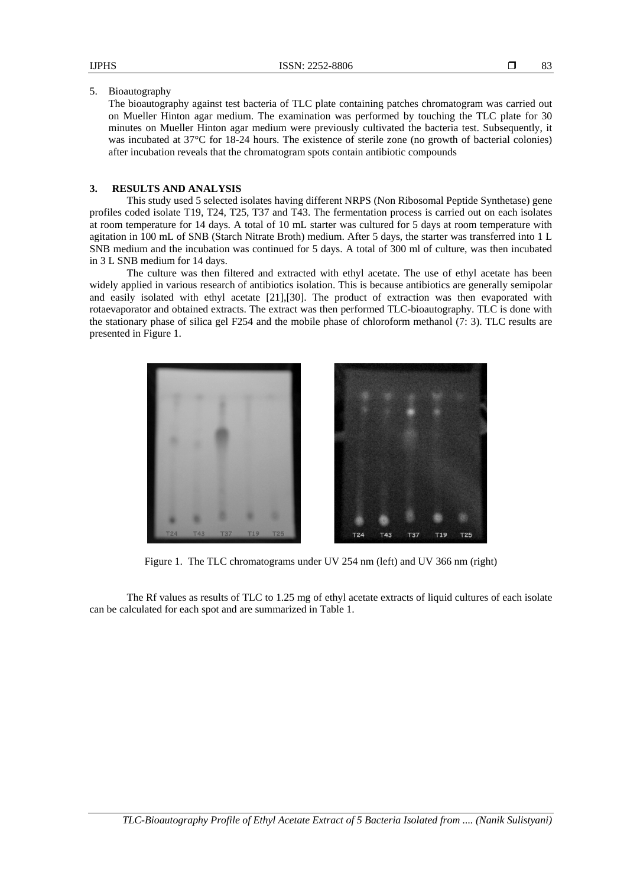5. Bioautography

The bioautography against test bacteria of TLC plate containing patches chromatogram was carried out on Mueller Hinton agar medium. The examination was performed by touching the TLC plate for 30 minutes on Mueller Hinton agar medium were previously cultivated the bacteria test. Subsequently, it was incubated at 37°C for 18-24 hours. The existence of sterile zone (no growth of bacterial colonies) after incubation reveals that the chromatogram spots contain antibiotic compounds

#### **3. RESULTS AND ANALYSIS**

This study used 5 selected isolates having different NRPS (Non Ribosomal Peptide Synthetase) gene profiles coded isolate T19, T24, T25, T37 and T43. The fermentation process is carried out on each isolates at room temperature for 14 days. A total of 10 mL starter was cultured for 5 days at room temperature with agitation in 100 mL of SNB (Starch Nitrate Broth) medium. After 5 days, the starter was transferred into 1 L SNB medium and the incubation was continued for 5 days. A total of 300 ml of culture, was then incubated in 3 L SNB medium for 14 days.

The culture was then filtered and extracted with ethyl acetate. The use of ethyl acetate has been widely applied in various research of antibiotics isolation. This is because antibiotics are generally semipolar and easily isolated with ethyl acetate [21],[30]. The product of extraction was then evaporated with rotaevaporator and obtained extracts. The extract was then performed TLC-bioautography. TLC is done with the stationary phase of silica gel F254 and the mobile phase of chloroform methanol (7: 3). TLC results are presented in Figure 1.



Figure 1. The TLC chromatograms under UV 254 nm (left) and UV 366 nm (right)

The Rf values as results of TLC to 1.25 mg of ethyl acetate extracts of liquid cultures of each isolate can be calculated for each spot and are summarized in Table 1.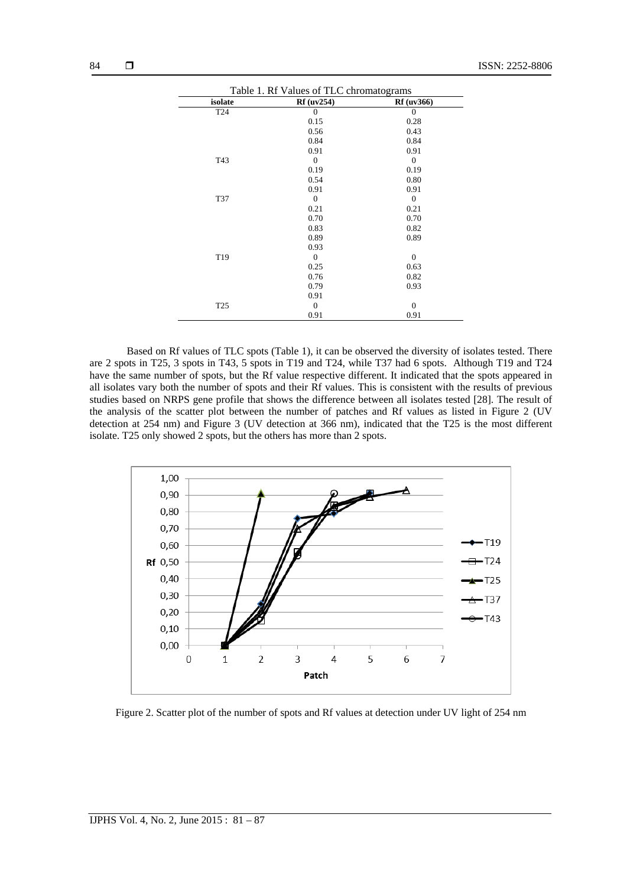| Table 1. Rf Values of TLC chromatograms |                   |                   |  |
|-----------------------------------------|-------------------|-------------------|--|
| isolate                                 | <b>Rf</b> (uv254) | <b>Rf</b> (uv366) |  |
| T <sub>24</sub>                         | $\Omega$          | $\Omega$          |  |
|                                         | 0.15              | 0.28              |  |
|                                         | 0.56              | 0.43              |  |
|                                         | 0.84              | 0.84              |  |
|                                         | 0.91              | 0.91              |  |
| T43                                     | $\mathbf{0}$      | $\mathbf{0}$      |  |
|                                         | 0.19              | 0.19              |  |
|                                         | 0.54              | 0.80              |  |
|                                         | 0.91              | 0.91              |  |
| T37                                     | $\mathbf{0}$      | $\theta$          |  |
|                                         | 0.21              | 0.21              |  |
|                                         | 0.70              | 0.70              |  |
|                                         | 0.83              | 0.82              |  |
|                                         | 0.89              | 0.89              |  |
|                                         | 0.93              |                   |  |
| T <sub>19</sub>                         | $\mathbf{0}$      | $\mathbf{0}$      |  |
|                                         | 0.25              | 0.63              |  |
|                                         | 0.76              | 0.82              |  |
|                                         | 0.79              | 0.93              |  |
|                                         | 0.91              |                   |  |
| T <sub>25</sub>                         | $\mathbf{0}$      | $\mathbf{0}$      |  |
|                                         | 0.91              | 0.91              |  |

Based on Rf values of TLC spots (Table 1), it can be observed the diversity of isolates tested. There are 2 spots in T25, 3 spots in T43, 5 spots in T19 and T24, while T37 had 6 spots. Although T19 and T24 have the same number of spots, but the Rf value respective different. It indicated that the spots appeared in all isolates vary both the number of spots and their Rf values. This is consistent with the results of previous studies based on NRPS gene profile that shows the difference between all isolates tested [28]. The result of the analysis of the scatter plot between the number of patches and Rf values as listed in Figure 2 (UV detection at 254 nm) and Figure 3 (UV detection at 366 nm), indicated that the T25 is the most different isolate. T25 only showed 2 spots, but the others has more than 2 spots.



Figure 2. Scatter plot of the number of spots and Rf values at detection under UV light of 254 nm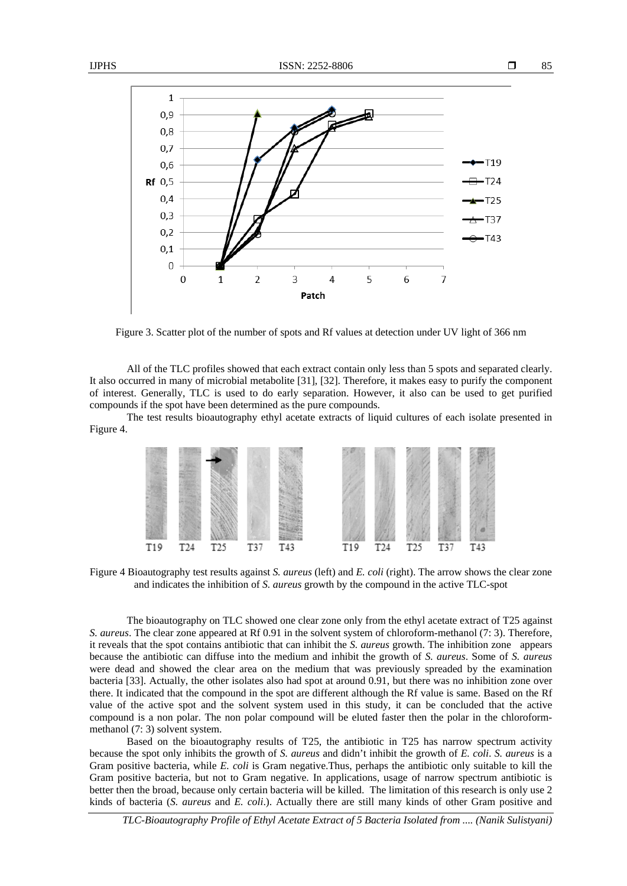

Figure 3. Scatter plot of the number of spots and Rf values at detection under UV light of 366 nm

All of the TLC profiles showed that each extract contain only less than 5 spots and separated clearly. It also occurred in many of microbial metabolite [31], [32]. Therefore, it makes easy to purify the component of interest. Generally, TLC is used to do early separation. However, it also can be used to get purified compounds if the spot have been determined as the pure compounds.

The test results bioautography ethyl acetate extracts of liquid cultures of each isolate presented in Figure 4.



Figure 4 Bioautography test results against *S. aureus* (left) and *E. coli* (right). The arrow shows the clear zone and indicates the inhibition of *S. aureus* growth by the compound in the active TLC-spot

The bioautography on TLC showed one clear zone only from the ethyl acetate extract of T25 against *S. aureus*. The clear zone appeared at Rf 0.91 in the solvent system of chloroform-methanol (7: 3). Therefore, it reveals that the spot contains antibiotic that can inhibit the *S. aureus* growth. The inhibition zone appears because the antibiotic can diffuse into the medium and inhibit the growth of *S. aureus*. Some of *S. aureus* were dead and showed the clear area on the medium that was previously spreaded by the examination bacteria [33]. Actually, the other isolates also had spot at around 0.91, but there was no inhibition zone over there. It indicated that the compound in the spot are different although the Rf value is same. Based on the Rf value of the active spot and the solvent system used in this study, it can be concluded that the active compound is a non polar. The non polar compound will be eluted faster then the polar in the chloroformmethanol (7: 3) solvent system.

Based on the bioautography results of T25, the antibiotic in T25 has narrow spectrum activity because the spot only inhibits the growth of *S. aureus* and didn't inhibit the growth of *E. coli*. *S. aureus* is a Gram positive bacteria, while *E. coli* is Gram negative.Thus, perhaps the antibiotic only suitable to kill the Gram positive bacteria, but not to Gram negative. In applications, usage of narrow spectrum antibiotic is better then the broad, because only certain bacteria will be killed. The limitation of this research is only use 2 kinds of bacteria (*S. aureus* and *E. coli*.). Actually there are still many kinds of other Gram positive and

*TLC-Bioautography Profile of Ethyl Acetate Extract of 5 Bacteria Isolated from .... (Nanik Sulistyani)*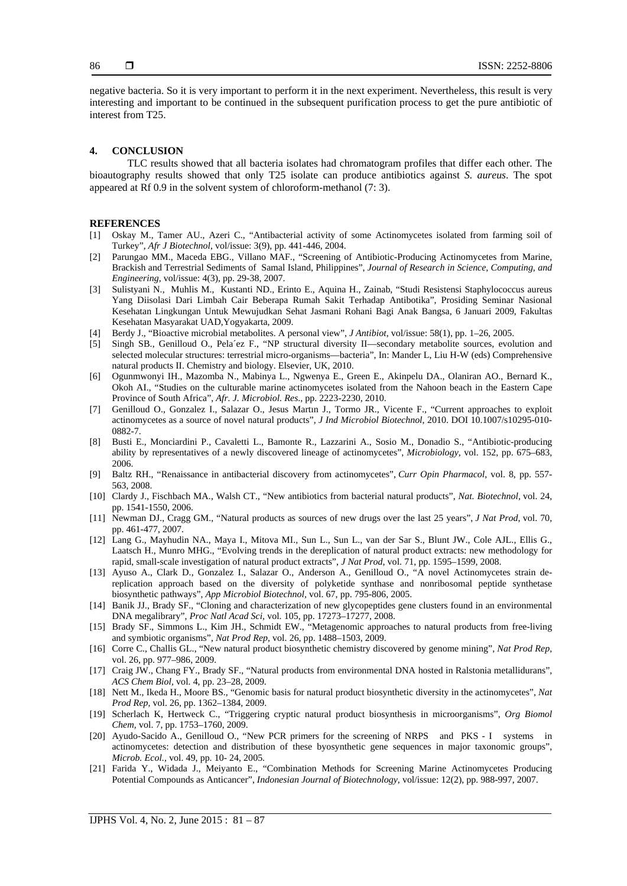negative bacteria. So it is very important to perform it in the next experiment. Nevertheless, this result is very interesting and important to be continued in the subsequent purification process to get the pure antibiotic of interest from T25.

### **4. CONCLUSION**

TLC results showed that all bacteria isolates had chromatogram profiles that differ each other. The bioautography results showed that only T25 isolate can produce antibiotics against *S. aureus*. The spot appeared at Rf 0.9 in the solvent system of chloroform-methanol (7: 3).

#### **REFERENCES**

- [1] Oskay M., Tamer AU., Azeri C., "Antibacterial activity of some Actinomycetes isolated from farming soil of Turkey", *Afr J Biotechnol*, vol/issue: 3(9), pp. 441-446, 2004.
- Parungao MM., Maceda EBG., Villano MAF., "Screening of Antibiotic-Producing Actinomycetes from Marine, Brackish and Terrestrial Sediments of Samal Island, Philippines", *Journal of Research in Science, Computing, and Engineering*, vol/issue: 4(3), pp. 29-38, 2007.
- [3] Sulistyani N., Muhlis M., Kustanti ND., Erinto E., Aquina H., Zainab, "Studi Resistensi Staphylococcus aureus Yang Diisolasi Dari Limbah Cair Beberapa Rumah Sakit Terhadap Antibotika", Prosiding Seminar Nasional Kesehatan Lingkungan Untuk Mewujudkan Sehat Jasmani Rohani Bagi Anak Bangsa, 6 Januari 2009, Fakultas Kesehatan Masyarakat UAD,Yogyakarta, 2009.
- [4] Berdy J., "Bioactive microbial metabolites. A personal view", *J Antibiot*, vol/issue: 58(1), pp. 1–26, 2005.
- [5] Singh SB., Genilloud O., Pela´ez F., "NP structural diversity II—secondary metabolite sources, evolution and selected molecular structures: terrestrial micro-organisms—bacteria", In: Mander L, Liu H-W (eds) Comprehensive natural products II. Chemistry and biology. Elsevier, UK, 2010.
- [6] Ogunmwonyi IH., Mazomba N., Mabinya L., Ngwenya E., Green E., Akinpelu DA., Olaniran AO., Bernard K., Okoh AI., "Studies on the culturable marine actinomycetes isolated from the Nahoon beach in the Eastern Cape Province of South Africa", *Afr. J. Microbiol. Res*., pp. 2223-2230, 2010.
- [7] Genilloud O., Gonzalez I., Salazar O., Jesus Martın J., Tormo JR., Vicente F., "Current approaches to exploit actinomycetes as a source of novel natural products", *J Ind Microbiol Biotechnol*, 2010. DOI 10.1007/s10295-010- 0882-7.
- [8] Busti E., Monciardini P., Cavaletti L., Bamonte R., Lazzarini A., Sosio M., Donadio S., "Antibiotic-producing ability by representatives of a newly discovered lineage of actinomycetes", *Microbiology,* vol. 152, pp. 675–683, 2006.
- [9] Baltz RH., "Renaissance in antibacterial discovery from actinomycetes", *Curr Opin Pharmacol*, vol. 8, pp. 557- 563, 2008.
- [10] Clardy J., Fischbach MA., Walsh CT., "New antibiotics from bacterial natural products", *Nat. Biotechnol*, vol. 24, pp. 1541-1550, 2006.
- [11] Newman DJ., Cragg GM., "Natural products as sources of new drugs over the last 25 years", *J Nat Prod*, vol. 70, pp. 461-477, 2007.
- [12] Lang G., Mayhudin NA., Maya I., Mitova MI., Sun L., Sun L., van der Sar S., Blunt JW., Cole AJL., Ellis G., Laatsch H., Munro MHG., "Evolving trends in the dereplication of natural product extracts: new methodology for rapid, small-scale investigation of natural product extracts", *J Nat Prod*, vol. 71, pp. 1595–1599, 2008.
- [13] Ayuso A., Clark D., Gonzalez I., Salazar O., Anderson A., Genilloud O., "A novel Actinomycetes strain dereplication approach based on the diversity of polyketide synthase and nonribosomal peptide synthetase biosynthetic pathways", *App Microbiol Biotechnol,* vol. 67, pp. 795-806, 2005.
- [14] Banik JJ., Brady SF., "Cloning and characterization of new glycopeptides gene clusters found in an environmental DNA megalibrary", *Proc Natl Acad Sci,* vol. 105, pp. 17273–17277, 2008.
- [15] Brady SF., Simmons L., Kim JH., Schmidt EW., "Metagenomic approaches to natural products from free-living and symbiotic organisms", *Nat Prod Rep,* vol. 26, pp. 1488–1503, 2009.
- [16] Corre C., Challis GL., "New natural product biosynthetic chemistry discovered by genome mining", *Nat Prod Rep,* vol. 26, pp. 977–986, 2009.
- [17] Craig JW., Chang FY., Brady SF., "Natural products from environmental DNA hosted in Ralstonia metallidurans", *ACS Chem Biol,* vol. 4, pp. 23–28, 2009.
- [18] Nett M., Ikeda H., Moore BS., "Genomic basis for natural product biosynthetic diversity in the actinomycetes", *Nat Prod Rep,* vol. 26, pp. 1362–1384, 2009.
- [19] Scherlach K, Hertweck C., "Triggering cryptic natural product biosynthesis in microorganisms", *Org Biomol Chem,* vol. 7, pp. 1753–1760, 2009.
- [20] Ayudo-Sacido A., Genilloud O., "New PCR primers for the screening of NRPS and PKS I systems in actinomycetes: detection and distribution of these byosynthetic gene sequences in major taxonomic groups", *Microb. Ecol.,* vol. 49, pp. 10- 24, 2005.
- [21] Farida Y., Widada J., Meiyanto E., "Combination Methods for Screening Marine Actinomycetes Producing Potential Compounds as Anticancer", *Indonesian Journal of Biotechnology*, vol/issue: 12(2), pp. 988-997, 2007.